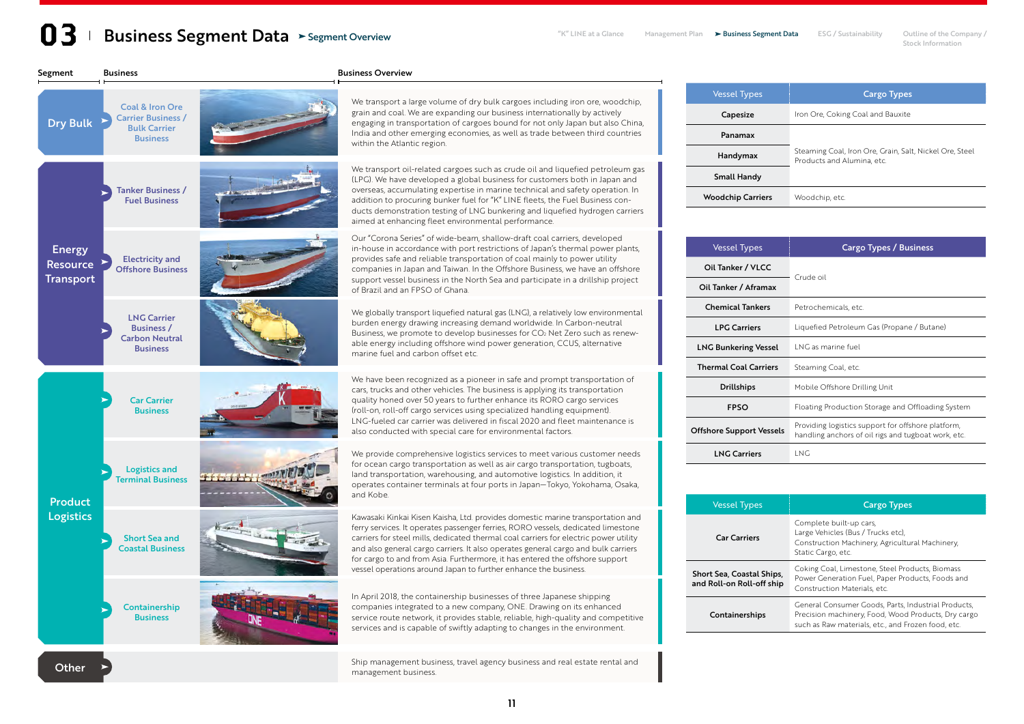# **13** Business Segment Data > Segment Overview **Since Segment Plan Data Clance** Management Plan > Business Segment Data ESG / Sustainability Outline of the Company / Stock Information Segment Overview

Stock Information

| Segment                                              | <b>Business</b>                                                                                   |                   | <b>Business Overview</b>                                                                                                                                                                                                                                                                                                                                                                                                                                                                           |
|------------------------------------------------------|---------------------------------------------------------------------------------------------------|-------------------|----------------------------------------------------------------------------------------------------------------------------------------------------------------------------------------------------------------------------------------------------------------------------------------------------------------------------------------------------------------------------------------------------------------------------------------------------------------------------------------------------|
| <b>Dry Bulk</b>                                      | <b>Coal &amp; Iron Ore</b><br><b>Carrier Business /</b><br><b>Bulk Carrier</b><br><b>Business</b> |                   | We transport a large volume of dry bulk cargoes including iron ore, woodchip,<br>grain and coal. We are expanding our business internationally by actively<br>engaging in transportation of cargoes bound for not only Japan but also China,<br>India and other emerging economies, as well as trade between third countries<br>within the Atlantic region.                                                                                                                                        |
| <b>Energy</b><br><b>Resource</b><br><b>Transport</b> | <b>Tanker Business /</b><br><b>Fuel Business</b>                                                  |                   | We transport oil-related cargoes such as crude oil and liquefied petroleum gas<br>(LPG). We have developed a global business for customers both in Japan and<br>overseas, accumulating expertise in marine technical and safety operation. In<br>addition to procuring bunker fuel for "K" LINE fleets, the Fuel Business con-<br>ducts demonstration testing of LNG bunkering and liquefied hydrogen carriers<br>aimed at enhancing fleet environmental performance.                              |
|                                                      | <b>Electricity and</b><br><b>Offshore Business</b>                                                |                   | Our "Corona Series" of wide-beam, shallow-draft coal carriers, developed<br>in-house in accordance with port restrictions of Japan's thermal power plants,<br>provides safe and reliable transportation of coal mainly to power utility<br>companies in Japan and Taiwan. In the Offshore Business, we have an offshore<br>support vessel business in the North Sea and participate in a drillship project<br>of Brazil and an FPSO of Ghana.                                                      |
|                                                      | <b>LNG Carrier</b><br><b>Business /</b><br><b>Carbon Neutral</b><br><b>Business</b>               |                   | We globally transport liquefied natural gas (LNG), a relatively low environmental<br>burden energy drawing increasing demand worldwide. In Carbon-neutral<br>Business, we promote to develop businesses for CO <sub>2</sub> Net Zero such as renew-<br>able energy including offshore wind power generation, CCUS, alternative<br>marine fuel and carbon offset etc.                                                                                                                               |
| <b>Product</b><br><b>Logistics</b>                   | <b>Car Carrier</b><br><b>Business</b>                                                             |                   | We have been recognized as a pioneer in safe and prompt transportation of<br>cars, trucks and other vehicles. The business is applying its transportation<br>quality honed over 50 years to further enhance its RORO cargo services<br>(roll-on, roll-off cargo services using specialized handling equipment).<br>LNG-fueled car carrier was delivered in fiscal 2020 and fleet maintenance is<br>also conducted with special care for environmental factors.                                     |
|                                                      | <b>Logistics and</b><br><b>Terminal Business</b>                                                  | <b>Hothy mill</b> | We provide comprehensive logistics services to meet various customer needs<br>for ocean cargo transportation as well as air cargo transportation, tugboats,<br>land transportation, warehousing, and automotive logistics. In addition, it<br>operates container terminals at four ports in Japan-Tokyo, Yokohama, Osaka,<br>and Kobe.                                                                                                                                                             |
|                                                      | <b>Short Sea and</b><br><b>Coastal Business</b>                                                   |                   | Kawasaki Kinkai Kisen Kaisha, Ltd. provides domestic marine transportation and<br>ferry services. It operates passenger ferries, RORO vessels, dedicated limestone<br>carriers for steel mills, dedicated thermal coal carriers for electric power utility<br>and also general cargo carriers. It also operates general cargo and bulk carriers<br>for cargo to and from Asia. Furthermore, it has entered the offshore support<br>vessel operations around Japan to further enhance the business. |
|                                                      | Containership<br><b>Business</b>                                                                  |                   | In April 2018, the containership businesses of three Japanese shipping<br>companies integrated to a new company, ONE. Drawing on its enhanced<br>service route network, it provides stable, reliable, high-quality and competitive<br>services and is capable of swiftly adapting to changes in the environment.                                                                                                                                                                                   |
| Other                                                |                                                                                                   |                   | Ship management business, travel agency business and real estate rental and<br>management business.                                                                                                                                                                                                                                                                                                                                                                                                |

| <b>Vessel Types</b>      | <b>Cargo Types</b>                                                                    |  |  |  |  |  |  |
|--------------------------|---------------------------------------------------------------------------------------|--|--|--|--|--|--|
| Capesize                 | Iron Ore, Coking Coal and Bauxite                                                     |  |  |  |  |  |  |
| Panamax                  |                                                                                       |  |  |  |  |  |  |
| Handymax                 | Steaming Coal, Iron Ore, Grain, Salt, Nickel Ore, Steel<br>Products and Alumina, etc. |  |  |  |  |  |  |
| <b>Small Handy</b>       |                                                                                       |  |  |  |  |  |  |
| <b>Woodchip Carriers</b> | Woodchip, etc.                                                                        |  |  |  |  |  |  |

| <b>Vessel Types</b>             | Cargo Types / Business                                                                                    |  |  |  |  |  |  |  |
|---------------------------------|-----------------------------------------------------------------------------------------------------------|--|--|--|--|--|--|--|
| Oil Tanker / VLCC               | Crude oil                                                                                                 |  |  |  |  |  |  |  |
| Oil Tanker / Aframax            |                                                                                                           |  |  |  |  |  |  |  |
| <b>Chemical Tankers</b>         | Petrochemicals, etc.                                                                                      |  |  |  |  |  |  |  |
| <b>I PG Carriers</b>            | Liquefied Petroleum Gas (Propane / Butane)                                                                |  |  |  |  |  |  |  |
| <b>LNG Bunkering Vessel</b>     | <b>ING</b> as marine fuel                                                                                 |  |  |  |  |  |  |  |
| <b>Thermal Coal Carriers</b>    | Steaming Coal, etc.                                                                                       |  |  |  |  |  |  |  |
| <b>Drillships</b>               | Mobile Offshore Drilling Unit                                                                             |  |  |  |  |  |  |  |
| <b>FPSO</b>                     | Floating Production Storage and Offloading System                                                         |  |  |  |  |  |  |  |
| <b>Offshore Support Vessels</b> | Providing logistics support for offshore platform,<br>handling anchors of oil rigs and tugboat work, etc. |  |  |  |  |  |  |  |
| <b>LNG Carriers</b>             | I NG                                                                                                      |  |  |  |  |  |  |  |

| <b>Vessel Types</b>                                    | <b>Cargo Types</b>                                                                                                                                               |
|--------------------------------------------------------|------------------------------------------------------------------------------------------------------------------------------------------------------------------|
| <b>Car Carriers</b>                                    | Complete built-up cars,<br>Large Vehicles (Bus / Trucks etc),<br>Construction Machinery, Agricultural Machinery,<br>Static Cargo, etc.                           |
| Short Sea, Coastal Ships,<br>and Roll-on Roll-off ship | Coking Coal, Limestone, Steel Products, Biomass<br>Power Generation Fuel, Paper Products, Foods and<br>Construction Materials, etc.                              |
| Containerships                                         | General Consumer Goods, Parts, Industrial Products,<br>Precision machinery, Food, Wood Products, Dry cargo<br>such as Raw materials, etc., and Frozen food, etc. |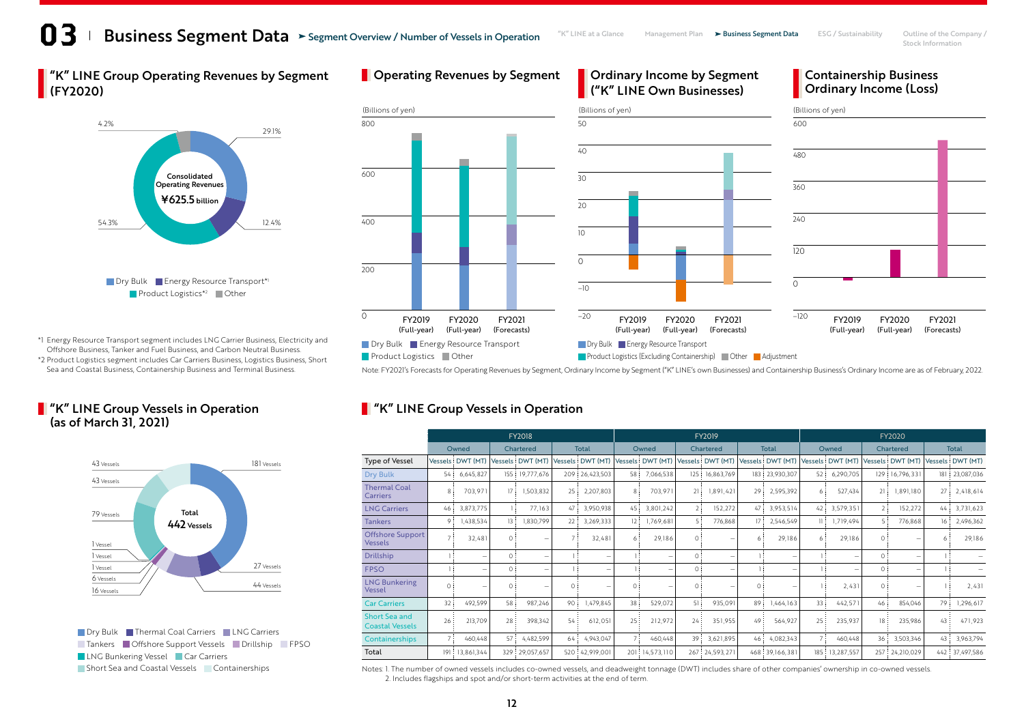# **13** Business Segment Data > Segment Overview / Number of Vessels in Operation "K" LINE at a Glance Management Plan > Business Segment Data ESG / Sustainability Outline of the Company / Segment Overview / Number of Vessels in Operation

Ordinary Income by Segment

**Operating Revenues by Segment Containery Income by Segment Containership Business** 

Stock Information

**K** "K" LINE Group Operating Revenues by Segment (FY2020)



\*1 Energy Resource Transport segment includes LNG Carrier Business, Electricity and Offshore Business, Tanker and Fuel Business, and Carbon Neutral Business.

\*2 Product Logistics segment includes Car Carriers Business, Logistics Business, Short

### **F** "K" LINE Group Vessels in Operation (as of March 31, 2021)



**Dry Bulk Thermal Coal Carriers DING Carriers**  Tankers Offshore Support Vessels Drillship FPSO **LNG Bunkering Vessel Car Carriers** Short Sea and Coastal Vessels Containerships



Note: FY2021's Forecasts for Operating Revenues by Segment, Ordinary Income by Segment ("K" LINE's own Businesses) and Containership Business's Ordinary Income are as of February, 2022.

# **T** "K" LINE Group Vessels in Operation

|                                                | <b>FY2018</b>  |                          |           |                          |              |                          | <b>FY2019</b>   |                   |           |                          |              |                  |                 | <b>FY2020</b>     |           |                          |                 |                  |  |
|------------------------------------------------|----------------|--------------------------|-----------|--------------------------|--------------|--------------------------|-----------------|-------------------|-----------|--------------------------|--------------|------------------|-----------------|-------------------|-----------|--------------------------|-----------------|------------------|--|
|                                                | Owned          |                          | Chartered |                          | <b>Total</b> |                          | Owned           |                   | Chartered |                          | <b>Total</b> |                  | Owned           |                   | Chartered |                          | <b>Total</b>    |                  |  |
| Type of Vessel                                 |                | Vessels DWT (MT)         |           | Vessels: DWT (MT)        |              | Vessels DWT (MT)         |                 | Vessels: DWT (MT) |           | Vessels DWT (MT)         |              | Vessels DWT (MT) |                 | Vessels: DWT (MT) |           | Vessels: DWT (MT)        |                 | Vessels DWT (MT) |  |
| <b>Dry Bulk</b>                                | 54:            | 6,645,827                | 155:      | 19,777,676               |              | 209 26,423,503           | 58 :            | 7,066,538         |           | 125 16,863,769           | 183:         | 23,930,307       | 52:             | 6,290,705         |           | 129 16,796,331           |                 | 181 23,087,036   |  |
| <b>Thermal Coal</b><br><b>Carriers</b>         | 8              | 703,971                  | 17        | 1,503,832                | 25:          | 2,207,803                | 8:              | 703,971           | 21:       | .891,421                 | 29           | 2,595,392        | 6 :             | 527,434           | 21:       | 1,891,180                | 27 <sup>1</sup> | 2,418,614        |  |
| <b>LNG Carriers</b>                            | 46             | 3,873,775                |           | 77.163                   | 47 :         | 3,950,938                | 45              | 3,801,242         | 2:        | 152,272                  | 47           | 3,953,514        | 42              | 3,579,351         | 2:        | 152,272                  | 44:             | 3,731,623        |  |
| <b>Tankers</b>                                 | 9              | 1,438,534                | 13:       | 1,830,799                | 22:          | 3,269,333                | 12:             | 1,769,681         | 5:        | 776,868                  | 17           | 2,546,549        | $\mathbb{R}^n$  | 1,719,494         | 5:        | 776,868                  | 16:             | 2,496,362        |  |
| <b>Offshore Support</b><br><b>Vessels</b>      | 7              | 32,481                   | $\Omega$  | -                        |              | 32,481                   | 6:              | 29,186            | 0         |                          | 6            | 29,186           | 6               | 29,186            | $\Omega$  |                          | 6               | 29,186           |  |
| <b>Drillship</b>                               |                | $\overline{\phantom{a}}$ | $\Omega$  | $\overline{\phantom{0}}$ |              | $\overline{\phantom{0}}$ |                 |                   | 0         |                          |              |                  |                 |                   | $\Omega$  | $\overline{\phantom{a}}$ |                 |                  |  |
| <b>FPSO</b>                                    |                | $\overline{\phantom{a}}$ | $\Omega$  | $\overline{\phantom{a}}$ |              | $\overline{\phantom{0}}$ |                 | -                 | 0         | $\overline{\phantom{a}}$ |              |                  |                 |                   | 0         |                          |                 |                  |  |
| <b>LNG Bunkering</b><br>Vessel                 | $\Omega$       |                          | $\Omega$  | $\overline{\phantom{a}}$ | $\Omega$     | -                        | $\Omega$        |                   | $\Omega$  |                          | $\Omega$     |                  |                 | 2,431             | $\Omega$  |                          |                 | 2,431            |  |
| <b>Car Carriers</b>                            | 32             | 492,599                  | 58        | 987,246                  | 90           | 1,479,845                | 38 <sup>3</sup> | 529,072           | 51:       | 935,091                  | 89           | 1,464,163        | 33:             | 442,571           | 46:       | 854,046                  | 79              | 1,296,617        |  |
| <b>Short Sea and</b><br><b>Coastal Vessels</b> | 26             | 213,709                  | 28        | 398,342                  | 54:          | 612.051                  | 25:             | 212,972           | 24        | 351,955                  | 49           | 564,927          | 25 <sup>2</sup> | 235,937           | 18        | 235,986                  | 43              | 471,923          |  |
| Containerships                                 | $\overline{7}$ | 460,448                  | 57:       | 4,482,599                | 64:          | 4,943,047                | 7:              | 460,448           | 39:       | 3,621,895                | 46           | 4,082,343        | 7 :             | 460,448           | 36:       | 3,503,346                | 43:             | 3,963,794        |  |
| Total                                          | 9              | 13,861,344               |           | 329 29,057,657           |              | 520 42,919,001           |                 | 201 14,573,110    |           | 267 24,593,271           |              | 468 39, 166, 381 | 185:            | 13,287,557        |           | 257 24,210,029           |                 | 442 37,497,586   |  |

Notes: 1. The number of owned vessels includes co-owned vessels, and deadweight tonnage (DWT) includes share of other companies' ownership in co-owned vessels. 2. Includes flagships and spot and/or short-term activities at the end of term.